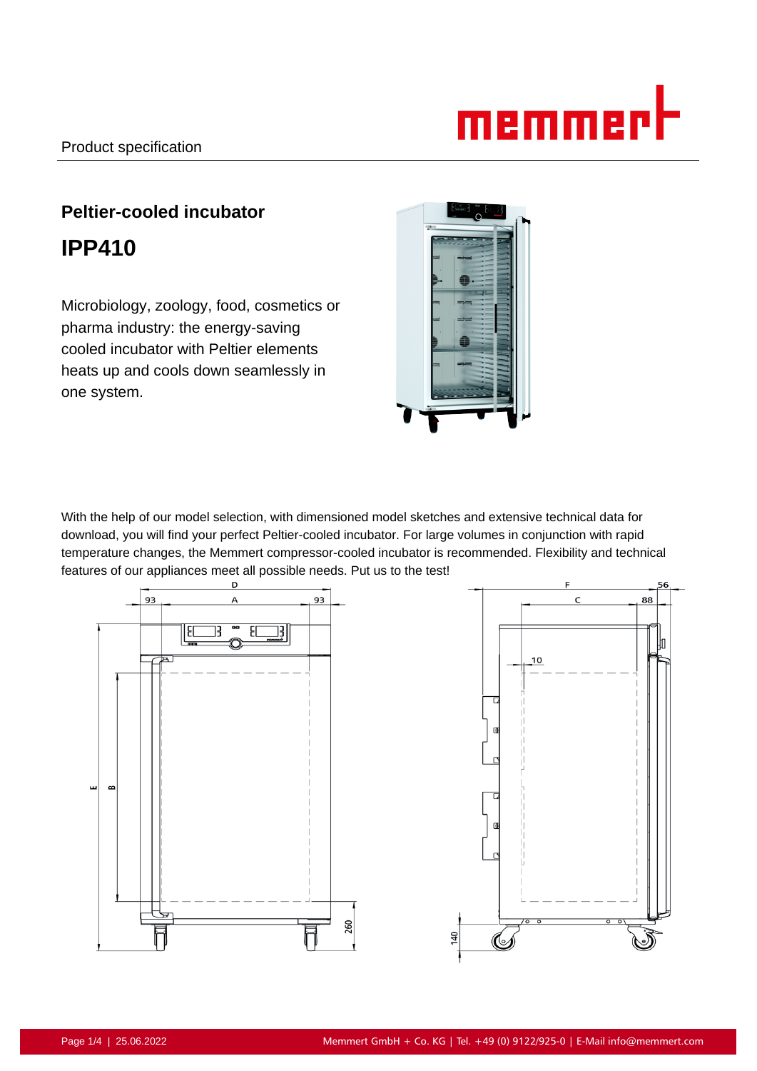# memmer

# **Peltier-cooled incubator IPP410**

Microbiology, zoology, food, cosmetics or pharma industry: the energy-saving cooled incubator with Peltier elements heats up and cools down seamlessly in one system.



With the help of our model selection, with dimensioned model sketches and extensive technical data for download, you will find your perfect Peltier-cooled incubator. For large volumes in conjunction with rapid temperature changes, the Memmert compressor-cooled incubator is recommended. Flexibility and technical features of our appliances meet all possible needs. Put us to the test!

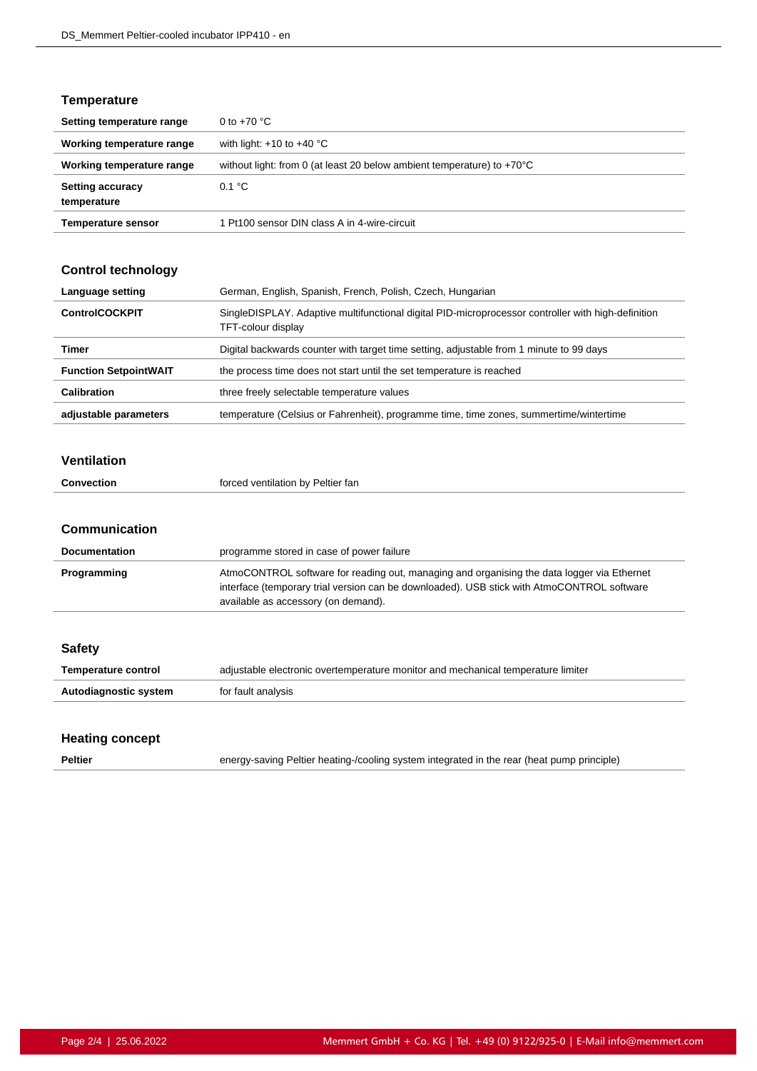# **Temperature**

| Setting temperature range              | 0 to $+70$ °C                                                                    |
|----------------------------------------|----------------------------------------------------------------------------------|
| Working temperature range              | with light: $+10$ to $+40$ °C                                                    |
| Working temperature range              | without light: from 0 (at least 20 below ambient temperature) to $+70^{\circ}$ C |
| <b>Setting accuracy</b><br>temperature | 0.1 °C                                                                           |
| <b>Temperature sensor</b>              | 1 Pt100 sensor DIN class A in 4-wire-circuit                                     |

#### **Control technology**

| Language setting             | German, English, Spanish, French, Polish, Czech, Hungarian                                                               |
|------------------------------|--------------------------------------------------------------------------------------------------------------------------|
| <b>ControlCOCKPIT</b>        | SingleDISPLAY. Adaptive multifunctional digital PID-microprocessor controller with high-definition<br>TFT-colour display |
| Timer                        | Digital backwards counter with target time setting, adjustable from 1 minute to 99 days                                  |
| <b>Function SetpointWAIT</b> | the process time does not start until the set temperature is reached                                                     |
| Calibration                  | three freely selectable temperature values                                                                               |
| adjustable parameters        | temperature (Celsius or Fahrenheit), programme time, time zones, summertime/wintertime                                   |

#### **Ventilation**

| Convection | forced ventilation by Peltier fan |
|------------|-----------------------------------|

#### **Communication**

| <b>Documentation</b> | programme stored in case of power failure                                                                                                                                                                                       |
|----------------------|---------------------------------------------------------------------------------------------------------------------------------------------------------------------------------------------------------------------------------|
| Programming          | AtmoCONTROL software for reading out, managing and organising the data logger via Ethernet<br>interface (temporary trial version can be downloaded). USB stick with AtmoCONTROL software<br>available as accessory (on demand). |

| <b>Safety</b>         |                                                                                  |
|-----------------------|----------------------------------------------------------------------------------|
| Temperature control   | adjustable electronic overtemperature monitor and mechanical temperature limiter |
| Autodiagnostic system | for fault analysis                                                               |
|                       |                                                                                  |

# **Heating concept**

**Peltier** energy-saving Peltier heating-/cooling system integrated in the rear (heat pump principle)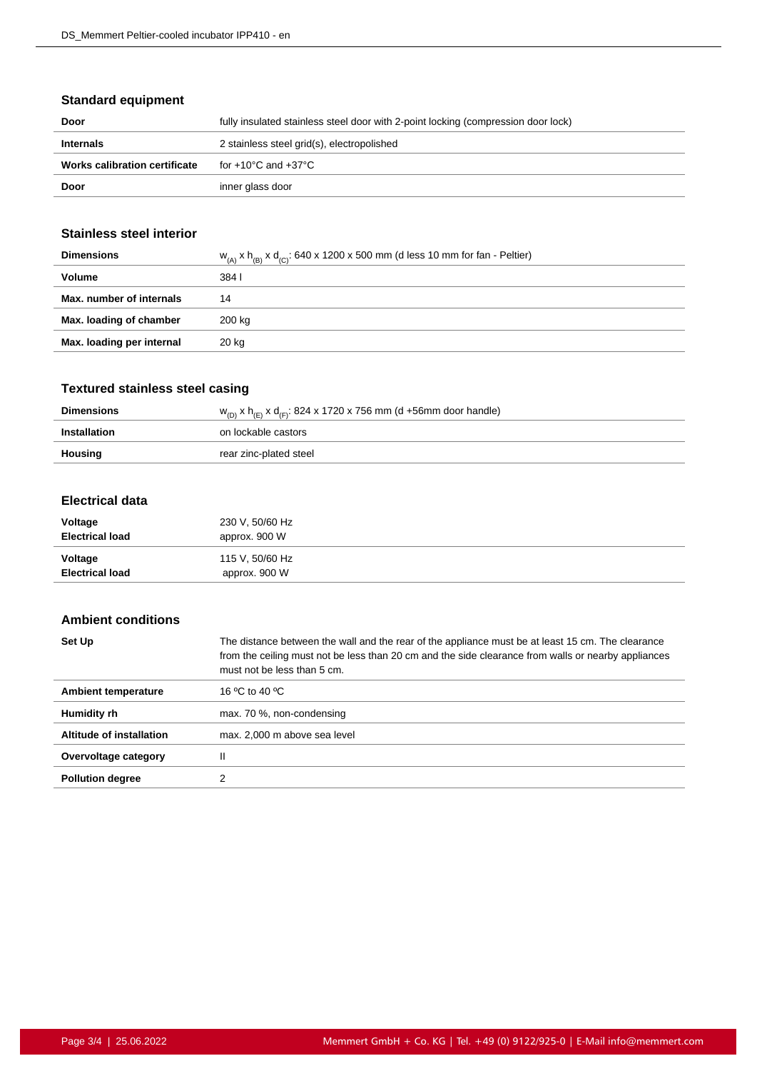# **Standard equipment**

| Door                          | fully insulated stainless steel door with 2-point locking (compression door lock) |
|-------------------------------|-----------------------------------------------------------------------------------|
| <b>Internals</b>              | 2 stainless steel grid(s), electropolished                                        |
| Works calibration certificate | for +10°C and +37°C                                                               |
| Door                          | inner glass door                                                                  |

# **Stainless steel interior**

| <b>Dimensions</b>         | $W_{(A)}$ x h <sub>(B)</sub> x d <sub>(C)</sub> : 640 x 1200 x 500 mm (d less 10 mm for fan - Peltier) |
|---------------------------|--------------------------------------------------------------------------------------------------------|
| Volume                    | 384 I                                                                                                  |
| Max. number of internals  | 14                                                                                                     |
| Max. loading of chamber   | 200 kg                                                                                                 |
| Max. loading per internal | 20 kg                                                                                                  |
|                           |                                                                                                        |

# **Textured stainless steel casing**

| <b>Dimensions</b> | $w_{(D)}$ x h <sub>(E)</sub> x d <sub>(F)</sub> : 824 x 1720 x 756 mm (d +56mm door handle) |
|-------------------|---------------------------------------------------------------------------------------------|
| Installation      | on lockable castors                                                                         |
| Housing           | rear zinc-plated steel                                                                      |

#### **Electrical data**

| Voltage                | 230 V, 50/60 Hz |
|------------------------|-----------------|
| <b>Electrical load</b> | approx. 900 W   |
| Voltage                | 115 V, 50/60 Hz |
| <b>Electrical load</b> | approx. 900 W   |

#### **Ambient conditions**

| Set Up                     | The distance between the wall and the rear of the appliance must be at least 15 cm. The clearance<br>from the ceiling must not be less than 20 cm and the side clearance from walls or nearby appliances<br>must not be less than 5 cm. |
|----------------------------|-----------------------------------------------------------------------------------------------------------------------------------------------------------------------------------------------------------------------------------------|
| <b>Ambient temperature</b> | 16 °C to 40 °C                                                                                                                                                                                                                          |
| Humidity rh                | max. 70 %, non-condensing                                                                                                                                                                                                               |
| Altitude of installation   | max. 2,000 m above sea level                                                                                                                                                                                                            |
| Overvoltage category       | Ш                                                                                                                                                                                                                                       |
| <b>Pollution degree</b>    |                                                                                                                                                                                                                                         |